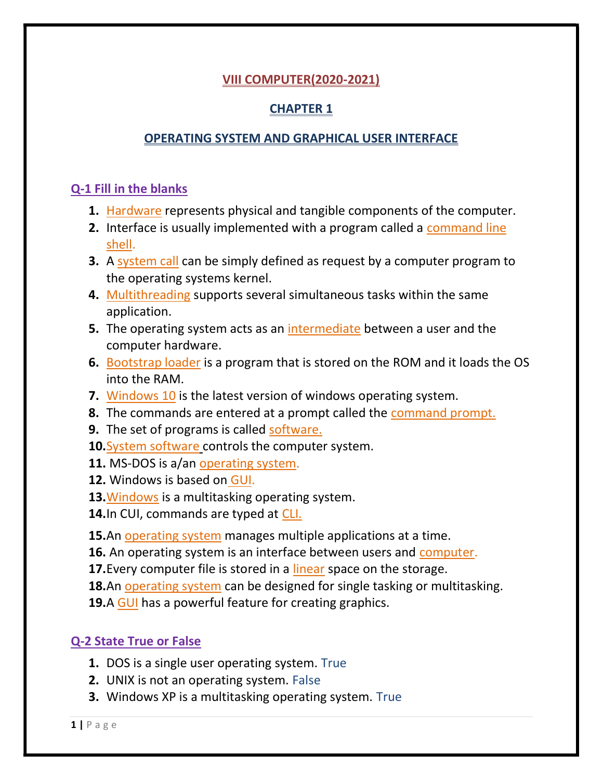## VIII COMPUTER(2020-2021)

# CHAPTER 1

## OPERATING SYSTEM AND GRAPHICAL USER INTERFACE

## Q-1 Fill in the blanks

- 1. Hardware represents physical and tangible components of the computer.
- 2. Interface is usually implemented with a program called a command line shell.
- **3.** A system call can be simply defined as request by a computer program to the operating systems kernel.
- 4. Multithreading supports several simultaneous tasks within the same application.
- 5. The operating system acts as an intermediate between a user and the computer hardware.
- 6. Bootstrap loader is a program that is stored on the ROM and it loads the OS into the RAM.
- **7.** Windows 10 is the latest version of windows operating system.
- **8.** The commands are entered at a prompt called the command prompt.
- **9.** The set of programs is called software.
- 10. System software controls the computer system.
- 11. MS-DOS is a/an operating system.
- 12. Windows is based on GUI.
- 13. Windows is a multitasking operating system.
- 14. In CUI, commands are typed at CLI.

15.An operating system manages multiple applications at a time.

- 16. An operating system is an interface between users and computer.
- 17. Every computer file is stored in a linear space on the storage.
- **18.**An operating system can be designed for single tasking or multitasking.
- **19.A GUI** has a powerful feature for creating graphics.

# Q-2 State True or False

- 1. DOS is a single user operating system. True
- 2. UNIX is not an operating system. False
- 3. Windows XP is a multitasking operating system. True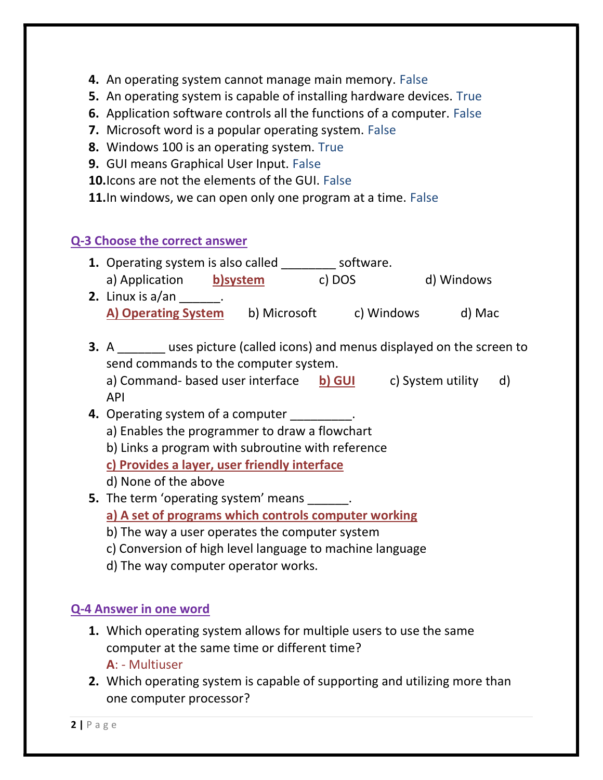- 4. An operating system cannot manage main memory. False
- 5. An operating system is capable of installing hardware devices. True
- 6. Application software controls all the functions of a computer. False
- 7. Microsoft word is a popular operating system. False
- 8. Windows 100 is an operating system. True
- 9. GUI means Graphical User Input. False
- 10. Icons are not the elements of the GUI. False
- 11. In windows, we can open only one program at a time. False

#### Q-3 Choose the correct answer

- 1. Operating system is also called \_\_\_\_\_\_\_\_ software. a) Application b)system c) DOS d) Windows
- **2.** Linux is  $a/\text{an}$   $\qquad$ . A) Operating System b) Microsoft c) Windows d) Mac
- **3.** A \_\_\_\_\_\_\_ uses picture (called icons) and menus displayed on the screen to send commands to the computer system.

a) Command- based user interface b) GUI c) System utility d) API

- **4.** Operating system of a computer \_\_\_\_\_\_\_\_\_. a) Enables the programmer to draw a flowchart
	- b) Links a program with subroutine with reference
	- c) Provides a layer, user friendly interface
	- d) None of the above
- **5.** The term 'operating system' means  $\qquad \qquad$ .
	- a) A set of programs which controls computer working
	- b) The way a user operates the computer system
	- c) Conversion of high level language to machine language
	- d) The way computer operator works.

### Q-4 Answer in one word

- 1. Which operating system allows for multiple users to use the same computer at the same time or different time?
	- A: Multiuser
- 2. Which operating system is capable of supporting and utilizing more than one computer processor?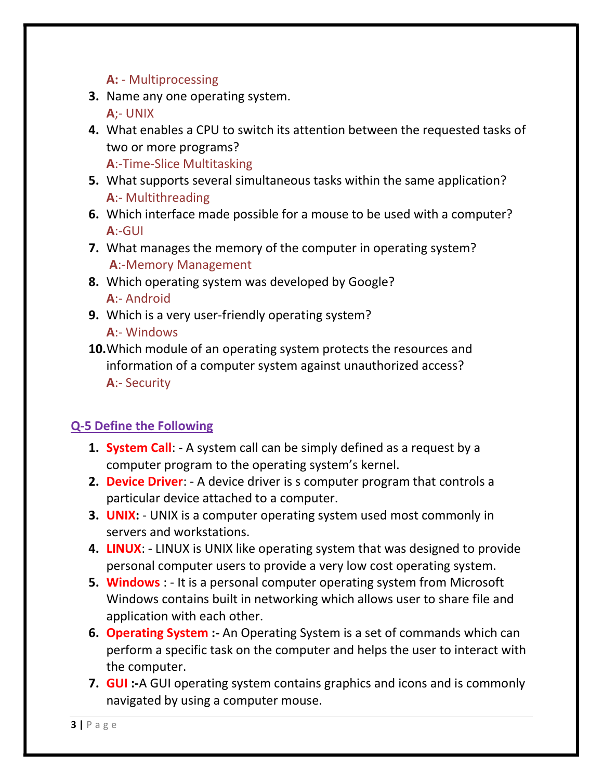### A: - Multiprocessing

3. Name any one operating system.

A;- UNIX

4. What enables a CPU to switch its attention between the requested tasks of two or more programs?

A:-Time-Slice Multitasking

- 5. What supports several simultaneous tasks within the same application? A:- Multithreading
- 6. Which interface made possible for a mouse to be used with a computer? A:-GUI
- 7. What manages the memory of the computer in operating system? A:-Memory Management
- 8. Which operating system was developed by Google? A:- Android
- 9. Which is a very user-friendly operating system? A:- Windows
- 10. Which module of an operating system protects the resources and information of a computer system against unauthorized access? A:- Security

# Q-5 Define the Following

- 1. System Call: A system call can be simply defined as a request by a computer program to the operating system's kernel.
- 2. Device Driver: A device driver is s computer program that controls a particular device attached to a computer.
- 3. **UNIX:** UNIX is a computer operating system used most commonly in servers and workstations.
- 4. LINUX: LINUX is UNIX like operating system that was designed to provide personal computer users to provide a very low cost operating system.
- 5. Windows : It is a personal computer operating system from Microsoft Windows contains built in networking which allows user to share file and application with each other.
- 6. Operating System :- An Operating System is a set of commands which can perform a specific task on the computer and helps the user to interact with the computer.
- 7. **GUI** :- A GUI operating system contains graphics and icons and is commonly navigated by using a computer mouse.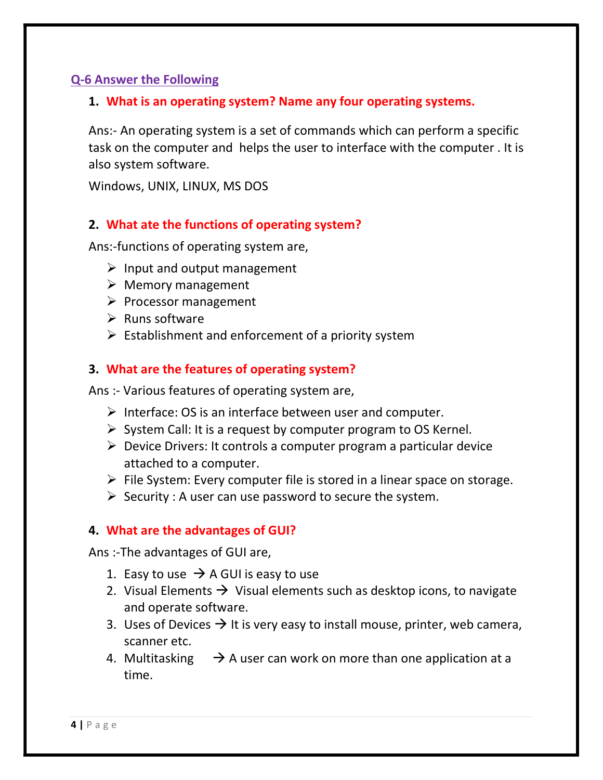### Q-6 Answer the Following

#### 1. What is an operating system? Name any four operating systems.

Ans:- An operating system is a set of commands which can perform a specific task on the computer and helps the user to interface with the computer . It is also system software.

Windows, UNIX, LINUX, MS DOS

#### 2. What ate the functions of operating system?

Ans:-functions of operating system are,

- $\triangleright$  Input and output management
- $\triangleright$  Memory management
- $\triangleright$  Processor management
- $\triangleright$  Runs software
- $\triangleright$  Establishment and enforcement of a priority system

#### 3. What are the features of operating system?

Ans :- Various features of operating system are,

- $\triangleright$  Interface: OS is an interface between user and computer.
- $\triangleright$  System Call: It is a request by computer program to OS Kernel.
- $\triangleright$  Device Drivers: It controls a computer program a particular device attached to a computer.
- $\triangleright$  File System: Every computer file is stored in a linear space on storage.
- $\triangleright$  Security : A user can use password to secure the system.

#### 4. What are the advantages of GUI?

Ans :-The advantages of GUI are,

- 1. Easy to use  $\rightarrow$  A GUI is easy to use
- 2. Visual Elements  $\rightarrow$  Visual elements such as desktop icons, to navigate and operate software.
- 3. Uses of Devices  $\rightarrow$  It is very easy to install mouse, printer, web camera, scanner etc.
- 4. Multitasking  $\rightarrow$  A user can work on more than one application at a time.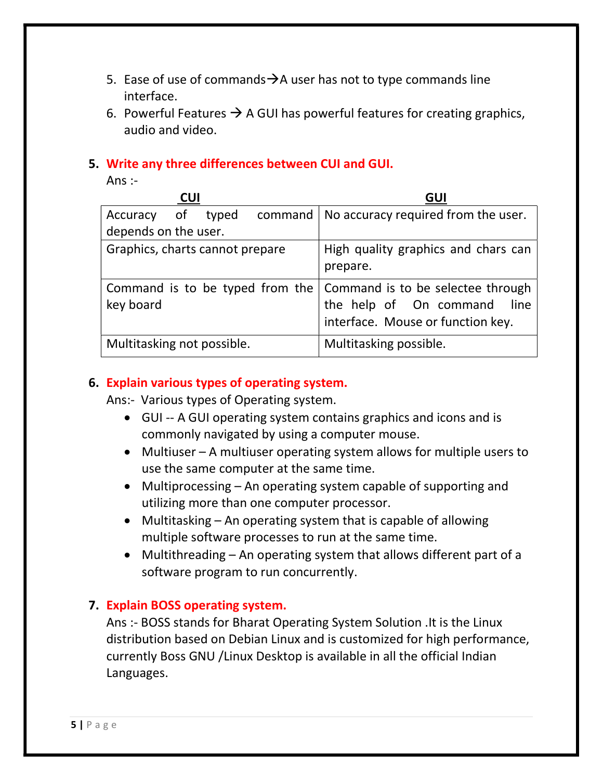- 5. Ease of use of commands $\rightarrow$ A user has not to type commands line interface.
- 6. Powerful Features  $\rightarrow$  A GUI has powerful features for creating graphics, audio and video.

#### 5. Write any three differences between CUI and GUI.

Ans $:$ 

| <b>CUI</b>                      |  |  |                                 | GUI                                                                                                      |
|---------------------------------|--|--|---------------------------------|----------------------------------------------------------------------------------------------------------|
| Accuracy of typed               |  |  |                                 | command   No accuracy required from the user.                                                            |
| depends on the user.            |  |  |                                 |                                                                                                          |
| Graphics, charts cannot prepare |  |  |                                 | High quality graphics and chars can<br>prepare.                                                          |
| key board                       |  |  | Command is to be typed from the | Command is to be selectee through<br>the help of On command<br>line<br>interface. Mouse or function key. |
| Multitasking not possible.      |  |  |                                 | Multitasking possible.                                                                                   |

### 6. Explain various types of operating system.

Ans:- Various types of Operating system.

- GUI -- A GUI operating system contains graphics and icons and is commonly navigated by using a computer mouse.
- Multiuser A multiuser operating system allows for multiple users to use the same computer at the same time.
- Multiprocessing An operating system capable of supporting and utilizing more than one computer processor.
- $\bullet$  Multitasking An operating system that is capable of allowing multiple software processes to run at the same time.
- Multithreading An operating system that allows different part of a software program to run concurrently.

### 7. Explain BOSS operating system.

Ans :- BOSS stands for Bharat Operating System Solution .It is the Linux distribution based on Debian Linux and is customized for high performance, currently Boss GNU /Linux Desktop is available in all the official Indian Languages.